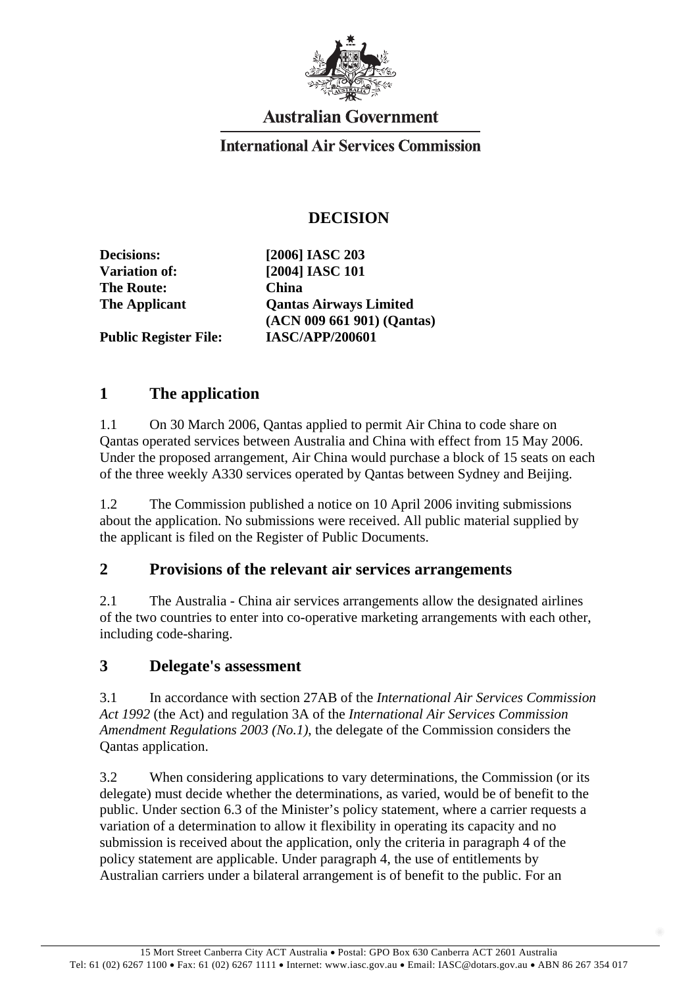

# **Australian Government**

#### **International Air Services Commission**

### **DECISION**

**The Route: China** 

**Decisions: [2006] IASC 203 Variation of: [2004] IASC 101 The Applicant Qantas Airways Limited (ACN 009 661 901) (Qantas) Public Register File: IASC/APP/200601** 

### **1 The application**

1.1 On 30 March 2006, Qantas applied to permit Air China to code share on Qantas operated services between Australia and China with effect from 15 May 2006. Under the proposed arrangement, Air China would purchase a block of 15 seats on each of the three weekly A330 services operated by Qantas between Sydney and Beijing.

1.2 The Commission published a notice on 10 April 2006 inviting submissions about the application. No submissions were received. All public material supplied by the applicant is filed on the Register of Public Documents.

#### **2 Provisions of the relevant air services arrangements**

2.1 The Australia - China air services arrangements allow the designated airlines of the two countries to enter into co-operative marketing arrangements with each other, including code-sharing.

#### **3 Delegate's assessment**

3.1 In accordance with section 27AB of the *International Air Services Commission Act 1992* (the Act) and regulation 3A of the *International Air Services Commission Amendment Regulations 2003 (No.1)*, the delegate of the Commission considers the Qantas application.

3.2 When considering applications to vary determinations, the Commission (or its delegate) must decide whether the determinations, as varied, would be of benefit to the public. Under section 6.3 of the Minister's policy statement, where a carrier requests a variation of a determination to allow it flexibility in operating its capacity and no submission is received about the application, only the criteria in paragraph 4 of the policy statement are applicable. Under paragraph 4, the use of entitlements by Australian carriers under a bilateral arrangement is of benefit to the public. For an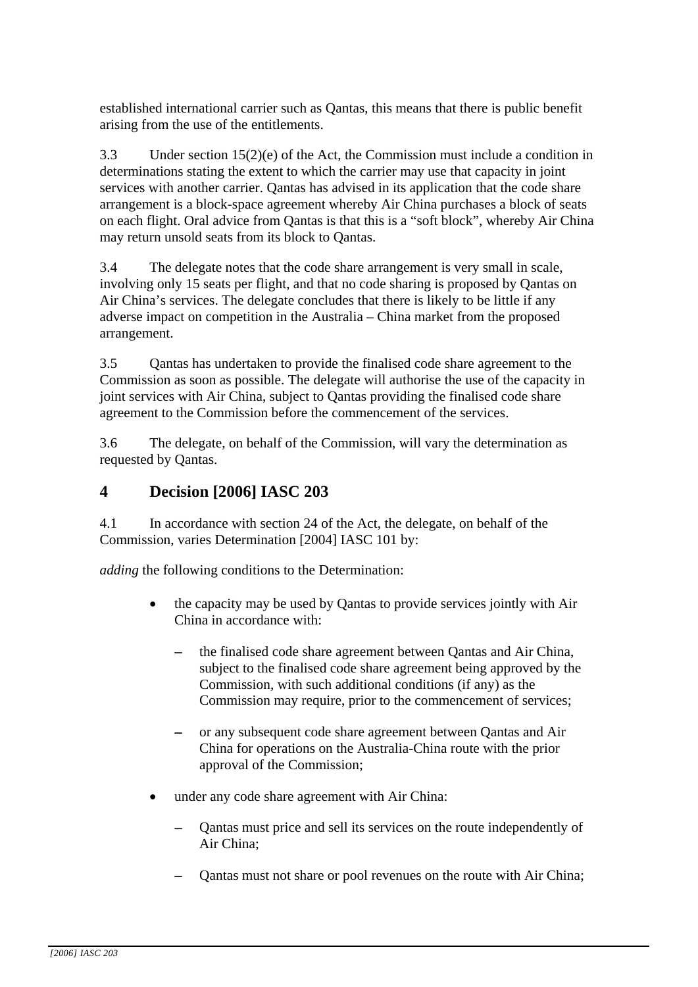established international carrier such as Qantas, this means that there is public benefit arising from the use of the entitlements.

3.3 Under section 15(2)(e) of the Act, the Commission must include a condition in determinations stating the extent to which the carrier may use that capacity in joint services with another carrier. Qantas has advised in its application that the code share arrangement is a block-space agreement whereby Air China purchases a block of seats on each flight. Oral advice from Qantas is that this is a "soft block", whereby Air China may return unsold seats from its block to Qantas.

3.4 The delegate notes that the code share arrangement is very small in scale, involving only 15 seats per flight, and that no code sharing is proposed by Qantas on Air China's services. The delegate concludes that there is likely to be little if any adverse impact on competition in the Australia – China market from the proposed arrangement.

3.5 Qantas has undertaken to provide the finalised code share agreement to the Commission as soon as possible. The delegate will authorise the use of the capacity in joint services with Air China, subject to Qantas providing the finalised code share agreement to the Commission before the commencement of the services.

3.6 The delegate, on behalf of the Commission, will vary the determination as requested by Qantas.

## **4 Decision [2006] IASC 203**

4.1 In accordance with section 24 of the Act, the delegate, on behalf of the Commission, varies Determination [2004] IASC 101 by:

*adding* the following conditions to the Determination:

- the capacity may be used by Qantas to provide services jointly with Air China in accordance with:
	- the finalised code share agreement between Qantas and Air China, subject to the finalised code share agreement being approved by the Commission, with such additional conditions (if any) as the Commission may require, prior to the commencement of services;
	- or any subsequent code share agreement between Qantas and Air China for operations on the Australia-China route with the prior approval of the Commission;
- under any code share agreement with Air China:
	- − Qantas must price and sell its services on the route independently of Air China;
	- Qantas must not share or pool revenues on the route with Air China;